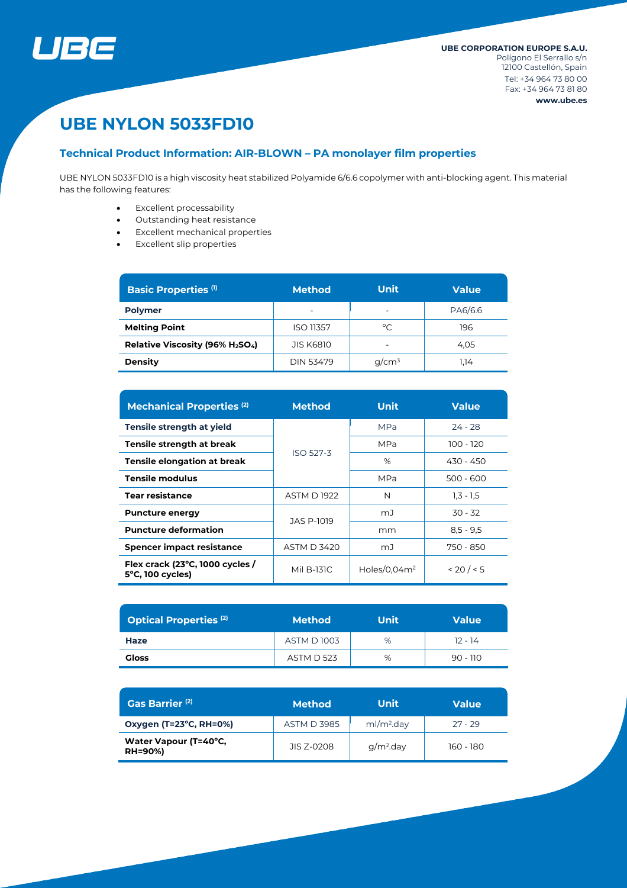

# **UBE NYLON 5033FD10**

# **Technical Product Information: AIR-BLOWN – PA monolayer film properties**

UBE NYLON 5033FD10 is a high viscosity heat stabilized Polyamide 6/6.6 copolymer with anti-blocking agent. This material has the following features:

- Excellent processability
- Outstanding heat resistance
- Excellent mechanical properties
- Excellent slip properties

| <b>Basic Properties (1)</b>                              | <b>Method</b>            | <b>Unit</b>              | <b>Value</b> |  |
|----------------------------------------------------------|--------------------------|--------------------------|--------------|--|
| <b>Polymer</b>                                           | $\overline{\phantom{0}}$ | $\overline{\phantom{0}}$ | PA6/6.6      |  |
| <b>Melting Point</b>                                     | <b>ISO 11357</b>         | °C                       | 196          |  |
| Relative Viscosity (96% H <sub>2</sub> SO <sub>4</sub> ) | <b>JIS K6810</b>         |                          | 4.05         |  |
| <b>Density</b>                                           | DIN 53479                | $q/cm^3$                 | 1.14         |  |

| <b>Mechanical Properties (2)</b>                              | <b>Method</b>      | <b>Unit</b>     | <b>Value</b> |  |
|---------------------------------------------------------------|--------------------|-----------------|--------------|--|
| Tensile strength at yield                                     |                    | <b>MPa</b>      | $24 - 28$    |  |
| Tensile strength at break                                     | <b>ISO 527-3</b>   | MPa             | $100 - 120$  |  |
| Tensile elongation at break                                   |                    | %               | 430 - 450    |  |
| <b>Tensile modulus</b>                                        |                    | <b>MPa</b>      | $500 - 600$  |  |
| <b>Tear resistance</b>                                        | <b>ASTM D1922</b>  | N               | $1,3 - 1,5$  |  |
| <b>Puncture energy</b>                                        | JAS P-1019         | mJ              | $30 - 32$    |  |
| <b>Puncture deformation</b>                                   |                    | mm              | $8,5 - 9,5$  |  |
| <b>Spencer impact resistance</b>                              | <b>ASTM D 3420</b> | mJ              | 750 - 850    |  |
| Flex crack (23°C, 1000 cycles /<br>$5^{\circ}$ C, 100 cycles) | Mil B-131C         | Holes/0,04 $m2$ | < 20 / < 5   |  |

| <b>Optical Properties (2)</b> | <b>Method</b>     | Unit | <b>Value</b> |  |
|-------------------------------|-------------------|------|--------------|--|
| Haze                          | <b>ASTM D1003</b> | %    | $12 - 14$    |  |
| <b>Gloss</b>                  | <b>ASTM D 523</b> | %    | $90 - 110$   |  |

| Gas Barrier <sup>(2)</sup>              | <b>Method</b>      | Unit                   | <b>Value</b> |  |
|-----------------------------------------|--------------------|------------------------|--------------|--|
| Oxygen (T=23°C, RH=0%)                  | <b>ASTM D 3985</b> | ml/m <sup>2</sup> .day | $27 - 29$    |  |
| Water Vapour (T=40°C,<br><b>RH=90%)</b> | JIS 7-0208         | $q/m2$ .day            | 160 - 180    |  |